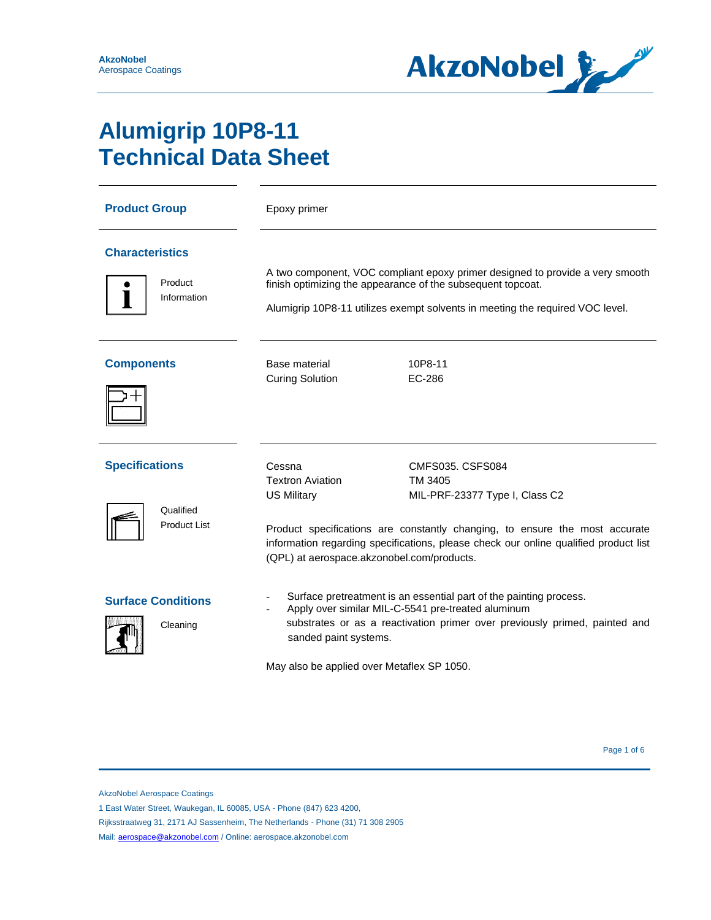

# **Alumigrip 10P8-11 Technical Data Sheet**

| <b>Product Group</b>                             |                                       | Epoxy primer                                                                                                                                                                                                                                                                  |                                                                                                                                                                                                                                             |  |
|--------------------------------------------------|---------------------------------------|-------------------------------------------------------------------------------------------------------------------------------------------------------------------------------------------------------------------------------------------------------------------------------|---------------------------------------------------------------------------------------------------------------------------------------------------------------------------------------------------------------------------------------------|--|
| <b>Characteristics</b><br>Product<br>Information |                                       | A two component, VOC compliant epoxy primer designed to provide a very smooth<br>finish optimizing the appearance of the subsequent topcoat.<br>Alumigrip 10P8-11 utilizes exempt solvents in meeting the required VOC level.                                                 |                                                                                                                                                                                                                                             |  |
| <b>Components</b>                                |                                       | Base material<br><b>Curing Solution</b>                                                                                                                                                                                                                                       | 10P8-11<br>EC-286                                                                                                                                                                                                                           |  |
| <b>Specifications</b>                            | Qualified<br><b>Product List</b>      | Cessna<br><b>Textron Aviation</b><br><b>US Military</b><br>(QPL) at aerospace.akzonobel.com/products.                                                                                                                                                                         | <b>CMFS035, CSFS084</b><br>TM 3405<br>MIL-PRF-23377 Type I, Class C2<br>Product specifications are constantly changing, to ensure the most accurate<br>information regarding specifications, please check our online qualified product list |  |
|                                                  | <b>Surface Conditions</b><br>Cleaning | Surface pretreatment is an essential part of the painting process.<br>Apply over similar MIL-C-5541 pre-treated aluminum<br>substrates or as a reactivation primer over previously primed, painted and<br>sanded paint systems.<br>May also be applied over Metaflex SP 1050. |                                                                                                                                                                                                                                             |  |

AkzoNobel Aerospace Coatings

1 East Water Street, Waukegan, IL 60085, USA - Phone (847) 623 4200,

Rijksstraatweg 31, 2171 AJ Sassenheim, The Netherlands - Phone (31) 71 308 2905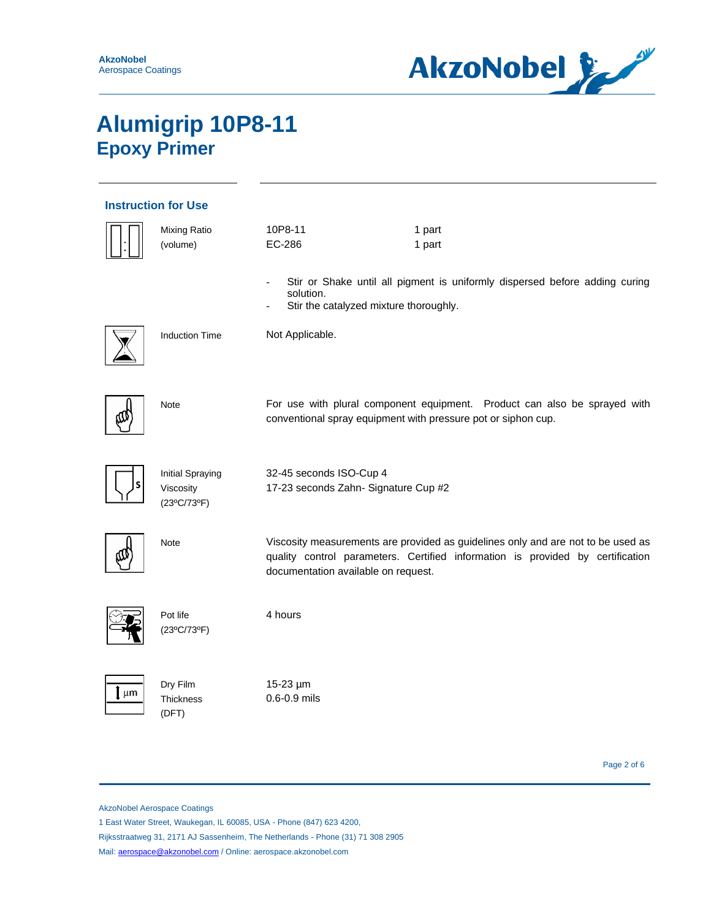

| <b>Instruction for Use</b> |                                                     |                                                                 |                                                                                                                                                                    |  |  |  |
|----------------------------|-----------------------------------------------------|-----------------------------------------------------------------|--------------------------------------------------------------------------------------------------------------------------------------------------------------------|--|--|--|
|                            | Mixing Ratio<br>(volume)                            | 10P8-11<br>EC-286                                               | 1 part<br>1 part                                                                                                                                                   |  |  |  |
|                            |                                                     | solution.<br>Stir the catalyzed mixture thoroughly.             | Stir or Shake until all pigment is uniformly dispersed before adding curing                                                                                        |  |  |  |
|                            | <b>Induction Time</b>                               | Not Applicable.                                                 |                                                                                                                                                                    |  |  |  |
|                            | Note                                                | conventional spray equipment with pressure pot or siphon cup.   | For use with plural component equipment. Product can also be sprayed with                                                                                          |  |  |  |
|                            | <b>Initial Spraying</b><br>Viscosity<br>(23°C/73°F) | 32-45 seconds ISO-Cup 4<br>17-23 seconds Zahn- Signature Cup #2 |                                                                                                                                                                    |  |  |  |
|                            | Note                                                | documentation available on request.                             | Viscosity measurements are provided as guidelines only and are not to be used as<br>quality control parameters. Certified information is provided by certification |  |  |  |
|                            | Pot life<br>(23°C/73°F)                             | 4 hours                                                         |                                                                                                                                                                    |  |  |  |
| μm                         | Dry Film<br><b>Thickness</b><br>(DFT)               | 15-23 µm<br>0.6-0.9 mils                                        |                                                                                                                                                                    |  |  |  |

Page 2 of 6

AkzoNobel Aerospace Coatings

1 East Water Street, Waukegan, IL 60085, USA - Phone (847) 623 4200,

Rijksstraatweg 31, 2171 AJ Sassenheim, The Netherlands - Phone (31) 71 308 2905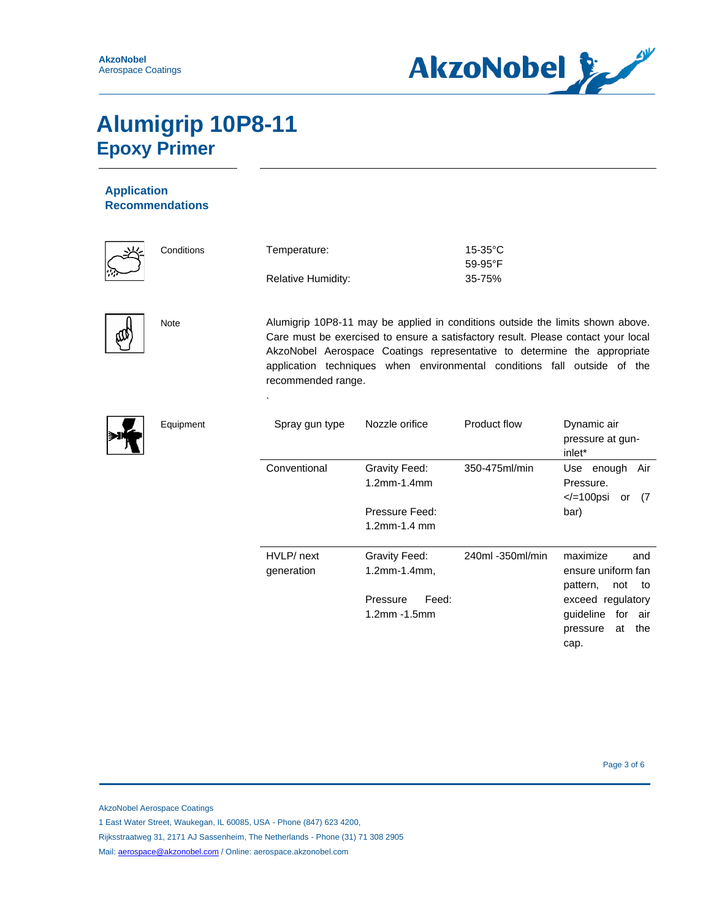

### **Application Recommendations**



|        | Conditions | Temperature:              | $15-35$ °C       |
|--------|------------|---------------------------|------------------|
| ぶ      |            |                           | $59-95^{\circ}F$ |
| $\sim$ |            | <b>Relative Humidity:</b> | 35-75%           |

.



Note Alumigrip 10P8-11 may be applied in conditions outside the limits shown above. Care must be exercised to ensure a satisfactory result. Please contact your local AkzoNobel Aerospace Coatings representative to determine the appropriate application techniques when environmental conditions fall outside of the recommended range.



| Equipment | Spray gun type           | Nozzle orifice                    | Product flow     | Dynamic air<br>pressure at gun-<br>inlet*                                  |
|-----------|--------------------------|-----------------------------------|------------------|----------------------------------------------------------------------------|
|           | Conventional             | Gravity Feed:<br>1.2mm-1.4mm      | 350-475ml/min    | Use enough<br>Air<br>Pressure.<br>$<$ /=100psi<br>- (7<br>or               |
|           |                          | Pressure Feed:<br>1.2mm-1.4 mm    |                  | bar)                                                                       |
|           | HVLP/ next<br>generation | Gravity Feed:<br>1.2mm-1.4mm,     | 240ml -350ml/min | maximize<br>and<br>ensure uniform fan<br>pattern,<br>not to                |
|           |                          | Pressure<br>Feed:<br>1.2mm -1.5mm |                  | exceed regulatory<br>guideline<br>for air<br>the<br>at<br>pressure<br>cap. |

AkzoNobel Aerospace Coatings

1 East Water Street, Waukegan, IL 60085, USA - Phone (847) 623 4200,

Rijksstraatweg 31, 2171 AJ Sassenheim, The Netherlands - Phone (31) 71 308 2905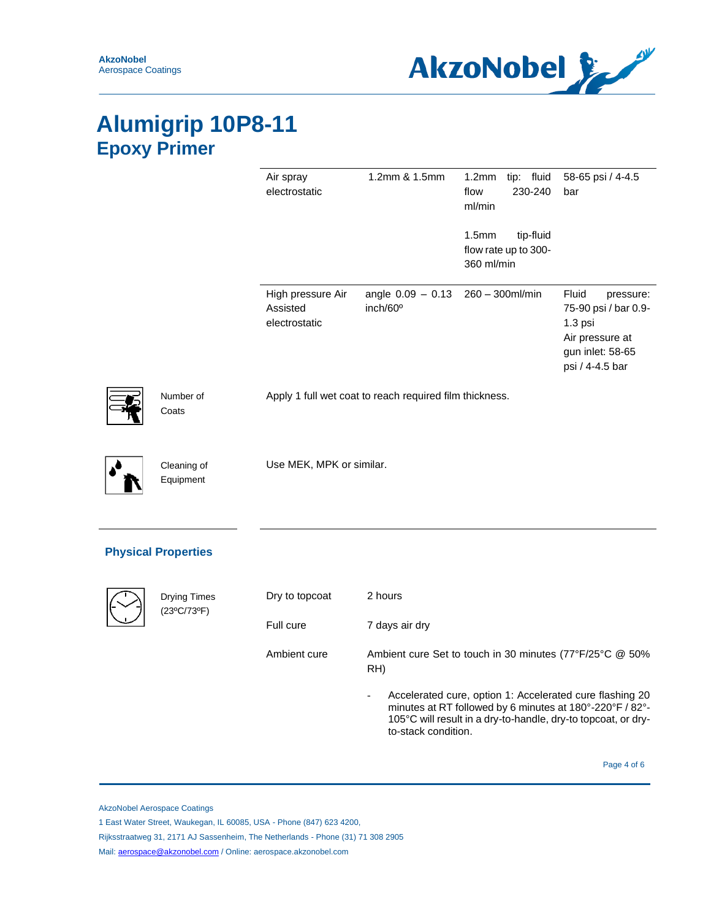

|                          | Air spray<br>electrostatic                     | 1.2mm & 1.5mm                                           | 1.2 <sub>mm</sub><br>tip: fluid<br>230-240<br>flow<br>ml/min         | 58-65 psi / 4-4.5<br>bar                                                                                               |
|--------------------------|------------------------------------------------|---------------------------------------------------------|----------------------------------------------------------------------|------------------------------------------------------------------------------------------------------------------------|
|                          |                                                |                                                         | 1.5 <sub>mm</sub><br>tip-fluid<br>flow rate up to 300-<br>360 ml/min |                                                                                                                        |
|                          | High pressure Air<br>Assisted<br>electrostatic | angle $0.09 - 0.13$ 260 - 300ml/min<br>inch/60°         |                                                                      | <b>Fluid</b><br>pressure:<br>75-90 psi / bar 0.9-<br>1.3 psi<br>Air pressure at<br>gun inlet: 58-65<br>psi / 4-4.5 bar |
| Number of<br>Coats       |                                                | Apply 1 full wet coat to reach required film thickness. |                                                                      |                                                                                                                        |
| Cleaning of<br>Equipment | Use MEK, MPK or similar.                       |                                                         |                                                                      |                                                                                                                        |

### **Physical Properties**

| <b>Drying Times</b><br>(23°C/73°F) | Dry to topcoat | 2 hours                                                                                                                                                                                                      |
|------------------------------------|----------------|--------------------------------------------------------------------------------------------------------------------------------------------------------------------------------------------------------------|
|                                    | Full cure      | 7 days air dry                                                                                                                                                                                               |
|                                    | Ambient cure   | Ambient cure Set to touch in 30 minutes (77°F/25°C @ 50%<br>RH)                                                                                                                                              |
|                                    |                | Accelerated cure, option 1: Accelerated cure flashing 20<br>minutes at RT followed by 6 minutes at 180°-220°F / 82°-<br>105°C will result in a dry-to-handle, dry-to topcoat, or dry-<br>to-stack condition. |

Page 4 of 6

AkzoNobel Aerospace Coatings

1 East Water Street, Waukegan, IL 60085, USA - Phone (847) 623 4200,

Rijksstraatweg 31, 2171 AJ Sassenheim, The Netherlands - Phone (31) 71 308 2905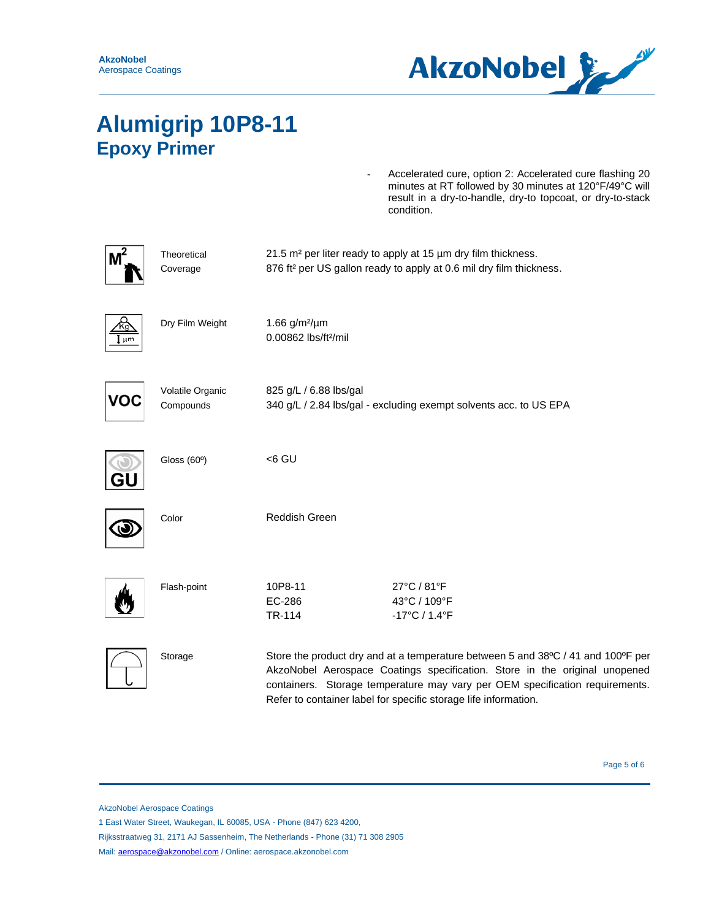

Accelerated cure, option 2: Accelerated cure flashing 20 minutes at RT followed by 30 minutes at 120°F/49°C will result in a dry-to-handle, dry-to topcoat, or dry-to-stack condition.

|     | Theoretical<br>Coverage       |                                                        | 21.5 m <sup>2</sup> per liter ready to apply at 15 µm dry film thickness.<br>876 ft <sup>2</sup> per US gallon ready to apply at 0.6 mil dry film thickness.                                                                                                                                                      |  |
|-----|-------------------------------|--------------------------------------------------------|-------------------------------------------------------------------------------------------------------------------------------------------------------------------------------------------------------------------------------------------------------------------------------------------------------------------|--|
| µm  | Dry Film Weight               | 1.66 $g/m^2/\mu m$<br>0.00862 lbs/ft <sup>2</sup> /mil |                                                                                                                                                                                                                                                                                                                   |  |
| voc | Volatile Organic<br>Compounds | 825 g/L / 6.88 lbs/gal                                 | 340 g/L / 2.84 lbs/gal - excluding exempt solvents acc. to US EPA                                                                                                                                                                                                                                                 |  |
|     | Gloss (60°)                   | <6 GU                                                  |                                                                                                                                                                                                                                                                                                                   |  |
|     | Color                         | Reddish Green                                          |                                                                                                                                                                                                                                                                                                                   |  |
|     | Flash-point                   | 10P8-11<br>EC-286<br>TR-114                            | 27°C / 81°F<br>43°C / 109°F<br>$-17^{\circ}$ C / 1.4 $^{\circ}$ F                                                                                                                                                                                                                                                 |  |
|     | Storage                       |                                                        | Store the product dry and at a temperature between 5 and 38°C / 41 and 100°F per<br>AkzoNobel Aerospace Coatings specification. Store in the original unopened<br>containers. Storage temperature may vary per OEM specification requirements.<br>Refer to container label for specific storage life information. |  |

Page 5 of 6

AkzoNobel Aerospace Coatings

1 East Water Street, Waukegan, IL 60085, USA - Phone (847) 623 4200,

Rijksstraatweg 31, 2171 AJ Sassenheim, The Netherlands - Phone (31) 71 308 2905

Mail: [aerospace@akzonobel.com](mailto:aerospace@akzonobel.com) / Online: aerospace.akzonobel.com